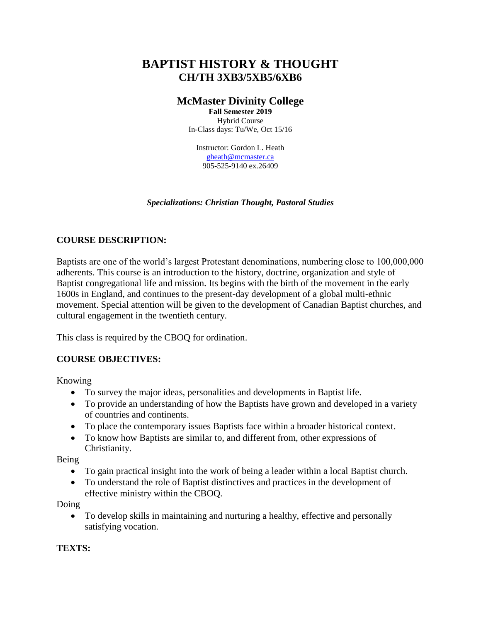# **BAPTIST HISTORY & THOUGHT CH/TH 3XB3/5XB5/6XB6**

## **McMaster Divinity College**

**Fall Semester 2019** Hybrid Course In-Class days: Tu/We, Oct 15/16

Instructor: Gordon L. Heath [gheath@mcmaster.ca](mailto:gheath@mcmaster.ca) 905-525-9140 ex.26409

*Specializations: Christian Thought, Pastoral Studies*

## **COURSE DESCRIPTION:**

Baptists are one of the world's largest Protestant denominations, numbering close to 100,000,000 adherents. This course is an introduction to the history, doctrine, organization and style of Baptist congregational life and mission. Its begins with the birth of the movement in the early 1600s in England, and continues to the present-day development of a global multi-ethnic movement. Special attention will be given to the development of Canadian Baptist churches, and cultural engagement in the twentieth century.

This class is required by the CBOQ for ordination.

## **COURSE OBJECTIVES:**

Knowing

- To survey the major ideas, personalities and developments in Baptist life.
- To provide an understanding of how the Baptists have grown and developed in a variety of countries and continents.
- To place the contemporary issues Baptists face within a broader historical context.
- To know how Baptists are similar to, and different from, other expressions of Christianity.

Being

- To gain practical insight into the work of being a leader within a local Baptist church.
- To understand the role of Baptist distinctives and practices in the development of effective ministry within the CBOQ.

Doing

 To develop skills in maintaining and nurturing a healthy, effective and personally satisfying vocation.

#### **TEXTS:**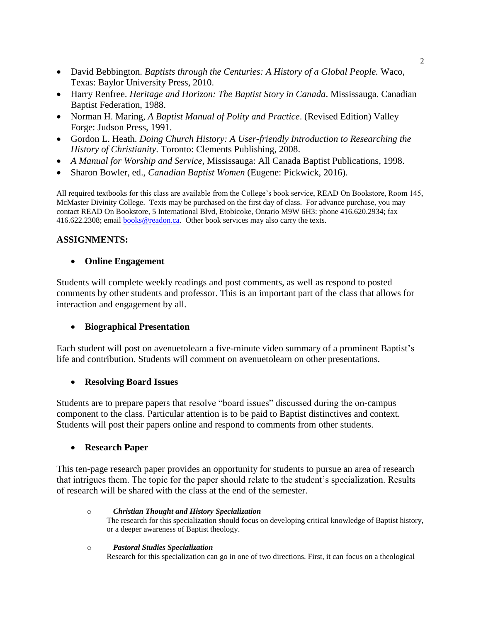- David Bebbington. *Baptists through the Centuries: A History of a Global People.* Waco, Texas: Baylor University Press, 2010.
- Harry Renfree. *Heritage and Horizon: The Baptist Story in Canada*. Mississauga. Canadian Baptist Federation, 1988.
- Norman H. Maring, *A Baptist Manual of Polity and Practice*. (Revised Edition) Valley Forge: Judson Press, 1991.
- Gordon L. Heath. *Doing Church History: A User-friendly Introduction to Researching the History of Christianity*. Toronto: Clements Publishing, 2008.
- *A Manual for Worship and Service,* Mississauga: All Canada Baptist Publications, 1998.
- Sharon Bowler, ed., *Canadian Baptist Women* (Eugene: Pickwick, 2016).

All required textbooks for this class are available from the College's book service, READ On Bookstore, Room 145, McMaster Divinity College. Texts may be purchased on the first day of class. For advance purchase, you may contact READ On Bookstore, 5 International Blvd, Etobicoke, Ontario M9W 6H3: phone 416.620.2934; fax 416.622.2308; email **books@readon.ca**. Other book services may also carry the texts.

### **ASSIGNMENTS:**

#### **Online Engagement**

Students will complete weekly readings and post comments, as well as respond to posted comments by other students and professor. This is an important part of the class that allows for interaction and engagement by all.

#### **Biographical Presentation**

Each student will post on avenuetolearn a five-minute video summary of a prominent Baptist's life and contribution. Students will comment on avenuetolearn on other presentations.

#### **Resolving Board Issues**

Students are to prepare papers that resolve "board issues" discussed during the on-campus component to the class. Particular attention is to be paid to Baptist distinctives and context. Students will post their papers online and respond to comments from other students.

#### **Research Paper**

This ten-page research paper provides an opportunity for students to pursue an area of research that intrigues them. The topic for the paper should relate to the student's specialization. Results of research will be shared with the class at the end of the semester.

o *Christian Thought and History Specialization* The research for this specialization should focus on developing critical knowledge of Baptist history, or a deeper awareness of Baptist theology.

#### o *Pastoral Studies Specialization* Research for this specialization can go in one of two directions. First, it can focus on a theological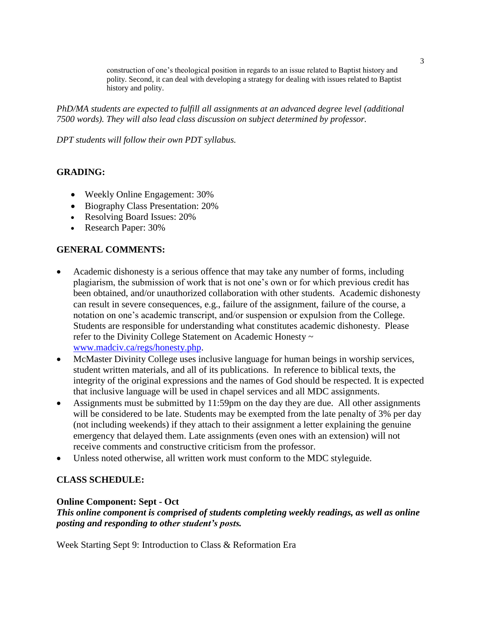construction of one's theological position in regards to an issue related to Baptist history and polity. Second, it can deal with developing a strategy for dealing with issues related to Baptist history and polity.

*PhD/MA students are expected to fulfill all assignments at an advanced degree level (additional 7500 words). They will also lead class discussion on subject determined by professor.*

*DPT students will follow their own PDT syllabus.*

### **GRADING:**

- Weekly Online Engagement: 30%
- Biography Class Presentation: 20%
- Resolving Board Issues: 20%
- Research Paper: 30%

### **GENERAL COMMENTS:**

- Academic dishonesty is a serious offence that may take any number of forms, including plagiarism, the submission of work that is not one's own or for which previous credit has been obtained, and/or unauthorized collaboration with other students. Academic dishonesty can result in severe consequences, e.g., failure of the assignment, failure of the course, a notation on one's academic transcript, and/or suspension or expulsion from the College. Students are responsible for understanding what constitutes academic dishonesty. Please refer to the Divinity College Statement on Academic Honesty ~ [www.madciv.ca/regs/honesty.php.](http://www.madciv.ca/regs/honesty.php)
- McMaster Divinity College uses inclusive language for human beings in worship services, student written materials, and all of its publications. In reference to biblical texts, the integrity of the original expressions and the names of God should be respected. It is expected that inclusive language will be used in chapel services and all MDC assignments.
- Assignments must be submitted by 11:59pm on the day they are due. All other assignments will be considered to be late. Students may be exempted from the late penalty of 3% per day (not including weekends) if they attach to their assignment a letter explaining the genuine emergency that delayed them. Late assignments (even ones with an extension) will not receive comments and constructive criticism from the professor.
- Unless noted otherwise, all written work must conform to the MDC styleguide*.*

#### **CLASS SCHEDULE:**

#### **Online Component: Sept - Oct**

*This online component is comprised of students completing weekly readings, as well as online posting and responding to other student's posts.*

Week Starting Sept 9: Introduction to Class & Reformation Era